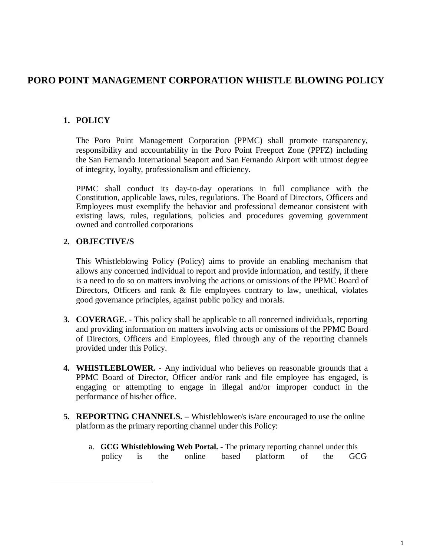## **PORO POINT MANAGEMENT CORPORATION WHISTLE BLOWING POLICY**

### **1. POLICY**

The Poro Point Management Corporation (PPMC) shall promote transparency, responsibility and accountability in the Poro Point Freeport Zone (PPFZ) including the San Fernando International Seaport and San Fernando Airport with utmost degree of integrity, loyalty, professionalism and efficiency.

PPMC shall conduct its day-to-day operations in full compliance with the Constitution, applicable laws, rules, regulations. The Board of Directors, Officers and Employees must exemplify the behavior and professional demeanor consistent with existing laws, rules, regulations, policies and procedures governing government owned and controlled corporations

#### **2. OBJECTIVE/S**

This Whistleblowing Policy (Policy) aims to provide an enabling mechanism that allows any concerned individual to report and provide information, and testify, if there is a need to do so on matters involving the actions or omissions of the PPMC Board of Directors, Officers and rank & file employees contrary to law, unethical, violates good governance principles, against public policy and morals.

- **3. COVERAGE.**  This policy shall be applicable to all concerned individuals, reporting and providing information on matters involving acts or omissions of the PPMC Board of Directors, Officers and Employees, filed through any of the reporting channels provided under this Policy.
- **4. WHISTLEBLOWER. -** Any individual who believes on reasonable grounds that a PPMC Board of Director, Officer and/or rank and file employee has engaged, is engaging or attempting to engage in illegal and/or improper conduct in the performance of his/her office.
- **5. REPORTING CHANNELS. –** Whistleblower/s is/are encouraged to use the online platform as the primary reporting channel under this Policy:
	- a. **GCG Whistleblowing Web Portal. -** The primary reporting channel under this policy is the online based platform of the GCG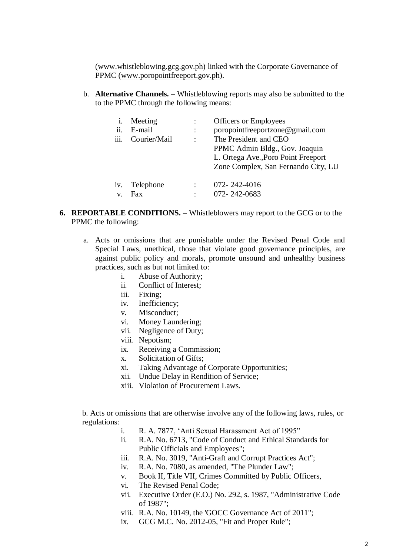[\(www.whistleblowing.gcg.gov.ph\) l](http://www.whistleblowing.gcg.gov.ph/)inked with the Corporate Governance of PPMC (www.poropointfreeport.gov.ph).

b. **Alternative Channels. –** Whistleblowing reports may also be submitted to the to the PPMC through the following means:

| i.   | Meeting      |                      | <b>Officers or Employees</b>        |
|------|--------------|----------------------|-------------------------------------|
| ii.  | E-mail       |                      | poropointfreeportzone@gmail.com     |
| iii. | Courier/Mail | $\ddot{\phantom{a}}$ | The President and CEO               |
|      |              |                      | PPMC Admin Bldg., Gov. Joaquin      |
|      |              |                      | L. Ortega Ave., Poro Point Freeport |
|      |              |                      | Zone Complex, San Fernando City, LU |
|      |              |                      |                                     |
| iv.  | Telephone    |                      | 072-242-4016                        |
| V.   | <b>Fax</b>   | ٠                    | 072-242-0683                        |

- **6. REPORTABLE CONDITIONS. –** Whistleblowers may report to the GCG or to the PPMC the following:
	- a. Acts or omissions that are punishable under the Revised Penal Code and Special Laws, unethical, those that violate good governance principles, are against public policy and morals, promote unsound and unhealthy business practices, such as but not limited to:
		- i. Abuse of Authority;
			- ii. Conflict of Interest;
		- iii. Fixing;
		- iv. Inefficiency;
		- v. Misconduct;
		- vi. Money Laundering;
		- vii. Negligence of Duty;
		- viii. Nepotism;
		- ix. Receiving a Commission;
		- x. Solicitation of Gifts;
		- xi. Taking Advantage of Corporate Opportunities;
		- xii. Undue Delay in Rendition of Service;
		- xiii. Violation of Procurement Laws.

b. Acts or omissions that are otherwise involve any of the following laws, rules, or regulations:

- i. R. A. 7877, "Anti Sexual Harassment Act of 1995"
- ii. R.A. No. 6713, "Code of Conduct and Ethical Standards for Public Officials and Employees";
- iii. R.A. No. 3019, "Anti-Graft and Corrupt Practices Act";
- iv. R.A. No. 7080, as amended, "The Plunder Law";
- v. Book II, Title VII, Crimes Committed by Public Officers,
- vi. The Revised Penal Code;
- vii. Executive Order (E.O.) No. 292, s. 1987, "Administrative Code of 1987";
- viii. R.A. No. 10149, the 'GOCC Governance Act of 2011";
- ix. GCG M.C. No. 2012-05, "Fit and Proper Rule";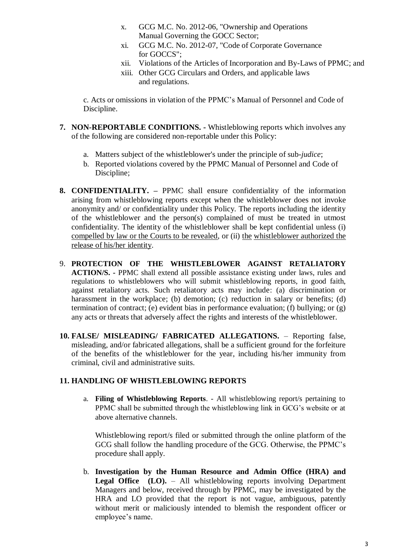- x. GCG M.C. No. 2012-06, "Ownership and Operations Manual Governing the GOCC Sector;
- xi. GCG M.C. No. 2012-07, "Code of Corporate Governance for GOCCS";
- xii. Violations of the Articles of Incorporation and By-Laws of PPMC; and
- xiii. Other GCG Circulars and Orders, and applicable laws and regulations.

c. Acts or omissions in violation of the PPMC"s Manual of Personnel and Code of Discipline.

- **7. NON-REPORTABLE CONDITIONS. -** Whistleblowing reports which involves any of the following are considered non-reportable under this Policy:
	- a. Matters subject of the whistleblower's under the principle of sub-*judice*;
	- b. Reported violations covered by the PPMC Manual of Personnel and Code of Discipline;
- **8. CONFIDENTIALITY. –** PPMC shall ensure confidentiality of the information arising from whistleblowing reports except when the whistleblower does not invoke anonymity and/ or confidentiality under this Policy. The reports including the identity of the whistleblower and the person(s) complained of must be treated in utmost confidentiality. The identity of the whistleblower shall be kept confidential unless (i) compelled by law or the Courts to be revealed, or (ii) the whistleblower authorized the release of his/her identity.
- 9. **PROTECTION OF THE WHISTLEBLOWER AGAINST RETALIATORY ACTION/S. -** PPMC shall extend all possible assistance existing under laws, rules and regulations to whistleblowers who will submit whistleblowing reports, in good faith, against retaliatory acts. Such retaliatory acts may include: (a) discrimination or harassment in the workplace; (b) demotion; (c) reduction in salary or benefits; (d) termination of contract; (e) evident bias in performance evaluation; (f) bullying; or (g) any acts or threats that adversely affect the rights and interests of the whistleblower.
- **10. FALSE/ MISLEADING/ FABRICATED ALLEGATIONS.**  Reporting false, misleading, and/or fabricated allegations, shall be a sufficient ground for the forfeiture of the benefits of the whistleblower for the year, including his/her immunity from criminal, civil and administrative suits.

#### **11. HANDLING OF WHISTLEBLOWING REPORTS**

a. **Filing of Whistleblowing Reports**. - All whistleblowing report/s pertaining to PPMC shall be submitted through the whistleblowing link in GCG"s website or at above alternative channels.

Whistleblowing report/s filed or submitted through the online platform of the GCG shall follow the handling procedure of the GCG. Otherwise, the PPMC"s procedure shall apply.

b. **Investigation by the Human Resource and Admin Office (HRA) and Legal Office (LO).** – All whistleblowing reports involving Department Managers and below, received through by PPMC, may be investigated by the HRA and LO provided that the report is not vague, ambiguous, patently without merit or maliciously intended to blemish the respondent officer or employee's name.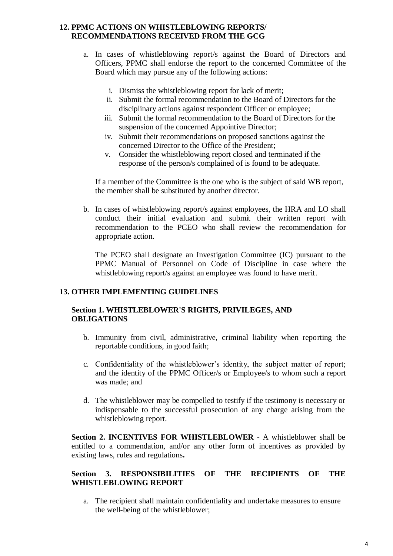#### **12. PPMC ACTIONS ON WHISTLEBLOWING REPORTS/ RECOMMENDATIONS RECEIVED FROM THE GCG**

- a. In cases of whistleblowing report/s against the Board of Directors and Officers, PPMC shall endorse the report to the concerned Committee of the Board which may pursue any of the following actions:
	- i. Dismiss the whistleblowing report for lack of merit;
	- ii. Submit the formal recommendation to the Board of Directors for the disciplinary actions against respondent Officer or employee;
	- iii. Submit the formal recommendation to the Board of Directors for the suspension of the concerned Appointive Director;
	- iv. Submit their recommendations on proposed sanctions against the concerned Director to the Office of the President;
	- v. Consider the whistleblowing report closed and terminated if the response of the person/s complained of is found to be adequate.

If a member of the Committee is the one who is the subject of said WB report, the member shall be substituted by another director.

b. In cases of whistleblowing report/s against employees, the HRA and LO shall conduct their initial evaluation and submit their written report with recommendation to the PCEO who shall review the recommendation for appropriate action.

The PCEO shall designate an Investigation Committee (IC) pursuant to the PPMC Manual of Personnel on Code of Discipline in case where the whistleblowing report/s against an employee was found to have merit.

#### **13. OTHER IMPLEMENTING GUIDELINES**

#### **Section 1. WHISTLEBLOWER'S RIGHTS, PRIVILEGES, AND OBLIGATIONS**

- b. Immunity from civil, administrative, criminal liability when reporting the reportable conditions, in good faith;
- c. Confidentiality of the whistleblower's identity, the subject matter of report; and the identity of the PPMC Officer/s or Employee/s to whom such a report was made; and
- d. The whistleblower may be compelled to testify if the testimony is necessary or indispensable to the successful prosecution of any charge arising from the whistleblowing report.

**Section 2. INCENTIVES FOR WHISTLEBLOWER** - A whistleblower shall be entitled to a commendation, and/or any other form of incentives as provided by existing laws, rules and regulations**.**

#### **Section 3. RESPONSIBILITIES OF THE RECIPIENTS OF THE WHISTLEBLOWING REPORT**

a. The recipient shall maintain confidentiality and undertake measures to ensure the well-being of the whistleblower;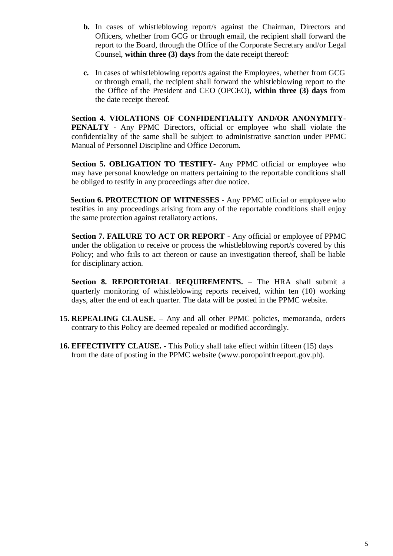- **b.** In cases of whistleblowing report/s against the Chairman, Directors and Officers, whether from GCG or through email, the recipient shall forward the report to the Board, through the Office of the Corporate Secretary and/or Legal Counsel, **within three (3) days** from the date receipt thereof:
- **c.** In cases of whistleblowing report/s against the Employees, whether from GCG or through email, the recipient shall forward the whistleblowing report to the the Office of the President and CEO (OPCEO), **within three (3) days** from the date receipt thereof.

**Section 4. VIOLATIONS OF CONFIDENTIALITY AND/OR ANONYMITY-PENALTY** - Any PPMC Directors, official or employee who shall violate the confidentiality of the same shall be subject to administrative sanction under PPMC Manual of Personnel Discipline and Office Decorum.

**Section 5. OBLIGATION TO TESTIFY**- Any PPMC official or employee who may have personal knowledge on matters pertaining to the reportable conditions shall be obliged to testify in any proceedings after due notice.

**Section 6. PROTECTION OF WITNESSES** - Any PPMC official or employee who testifies in any proceedings arising from any of the reportable conditions shall enjoy the same protection against retaliatory actions.

**Section 7. FAILURE TO ACT OR REPORT** - Any official or employee of PPMC under the obligation to receive or process the whistleblowing report/s covered by this Policy; and who fails to act thereon or cause an investigation thereof, shall be liable for disciplinary action.

Section 8. REPORTORIAL REQUIREMENTS. - The HRA shall submit a quarterly monitoring of whistleblowing reports received, within ten (10) working days, after the end of each quarter. The data will be posted in the PPMC website.

- **15. REPEALING CLAUSE.**  Any and all other PPMC policies, memoranda, orders contrary to this Policy are deemed repealed or modified accordingly.
- **16. EFFECTIVITY CLAUSE. -** This Policy shall take effect within fifteen (15) days from the date of posting in the PPMC website (www.poropointfreeport.gov.ph).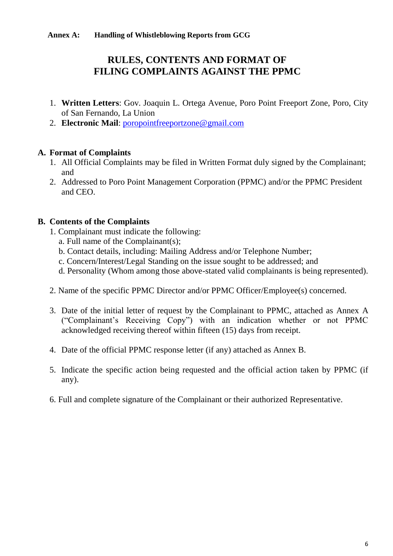# **RULES, CONTENTS AND FORMAT OF FILING COMPLAINTS AGAINST THE PPMC**

- 1. **Written Letters**: Gov. Joaquin L. Ortega Avenue, Poro Point Freeport Zone, Poro, City of San Fernando, La Union
- 2. **Electronic Mail**: [poropointfreeportzone@gmail.com](mailto:poropointfreeportzone@gmail.com)

## **A. Format of Complaints**

- 1. All Official Complaints may be filed in Written Format duly signed by the Complainant; and
- 2. Addressed to Poro Point Management Corporation (PPMC) and/or the PPMC President and CEO.

## **B. Contents of the Complaints**

- 1. Complainant must indicate the following:
	- a. Full name of the Complainant(s);
	- b. Contact details, including: Mailing Address and/or Telephone Number;
	- c. Concern/Interest/Legal Standing on the issue sought to be addressed; and
	- d. Personality (Whom among those above-stated valid complainants is being represented).
- 2. Name of the specific PPMC Director and/or PPMC Officer/Employee(s) concerned.
- 3. Date of the initial letter of request by the Complainant to PPMC, attached as Annex A ("Complainant"s Receiving Copy") with an indication whether or not PPMC acknowledged receiving thereof within fifteen (15) days from receipt.
- 4. Date of the official PPMC response letter (if any) attached as Annex B.
- 5. Indicate the specific action being requested and the official action taken by PPMC (if any).
- 6. Full and complete signature of the Complainant or their authorized Representative.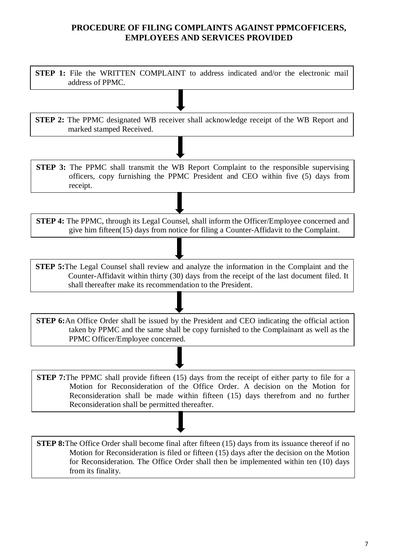## **PROCEDURE OF FILING COMPLAINTS AGAINST PPMCOFFICERS, EMPLOYEES AND SERVICES PROVIDED**

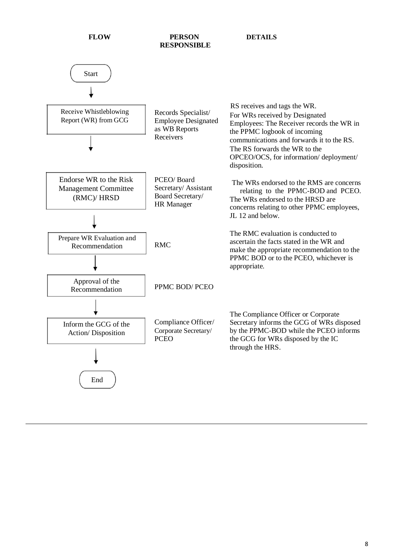